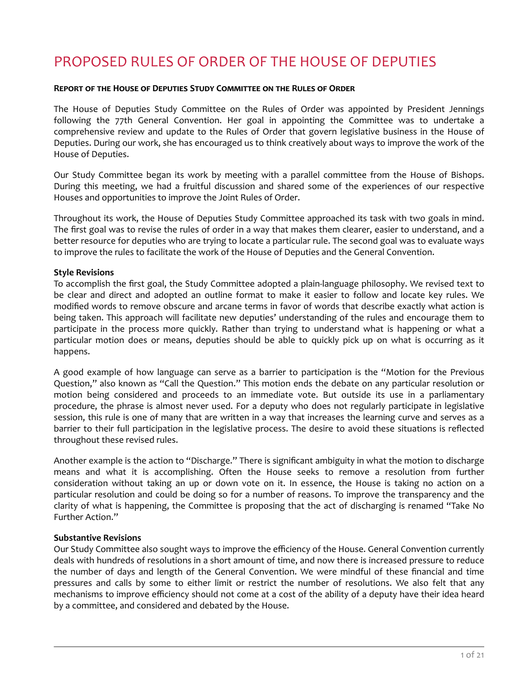# PROPOSED RULES OF ORDER OF THE HOUSE OF DEPUTIES

#### **Report of the House of Deputies StudĞ Committee on the Rules of Order**

The House of Deputies Study Committee on the Rules of Order was appointed by President Jennings following the 77th General Convention. Her goal in appointing the Committee was to undertake a comprehensive review and update to the Rules of Order that govern legislative business in the House of Deputies. During our work, she has encouraged us to think creatively about ways to improve the work of the House of Deputies.

Our Study Committee began its work by meeting with a parallel committee from the House of Bishops. During this meeting, we had a fruitful discussion and shared some of the experiences of our respective Houses and opportunities to improve the Joint Rules of Order.

Throughout its work, the House of Deputies Study Committee approached its task with two goals in mind. The first goal was to revise the rules of order in a way that makes them clearer, easier to understand, and a better resource for deputies who are trying to locate a particular rule. The second goal was to evaluate ways to improve the rules to facilitate the work of the House of Deputies and the General Convention.

## **Style Revisions**

To accomplish the first goal, the Study Committee adopted a plain-language philosophy. We revised text to be clear and direct and adopted an outline format to make it easier to follow and locate key rules. We modified words to remove obscure and arcane terms in favor of words that describe exactly what action is being taken. This approach will facilitate new deputies' understanding of the rules and encourage them to participate in the process more quickly. Rather than trying to understand what is happening or what a particular motion does or means, deputies should be able to quickly pick up on what is occurring as it happens.

A good example of how language can serve as a barrier to participation is the "Motion for the Previous Question," also known as "Call the Question." This motion ends the debate on any particular resolution or motion being considered and proceeds to an immediate vote. But outside its use in a parliamentary procedure, the phrase is almost never used. For a deputy who does not regularly participate in legislative session, this rule is one of many that are written in a way that increases the learning curve and serves as a barrier to their full participation in the legislative process. The desire to avoid these situations is reflected throughout these revised rules.

Another example is the action to "Discharge." There is significant ambiguity in what the motion to discharge means and what it is accomplishing. Often the House seeks to remove a resolution from further consideration without taking an up or down vote on it. In essence, the House is taking no action on a particular resolution and could be doing so for a number of reasons. To improve the transparency and the clarity of what is happening, the Committee is proposing that the act of discharging is renamed "Take No Further Action."

## **Substantive Revisions**

Our Study Committee also sought ways to improve the efficiency of the House. General Convention currently deals with hundreds of resolutions in a short amount of time, and now there is increased pressure to reduce the number of days and length of the General Convention. We were mindful of these financial and time pressures and calls by some to either limit or restrict the number of resolutions. We also felt that any mechanisms to improve efficiency should not come at a cost of the ability of a deputy have their idea heard by a committee, and considered and debated by the House.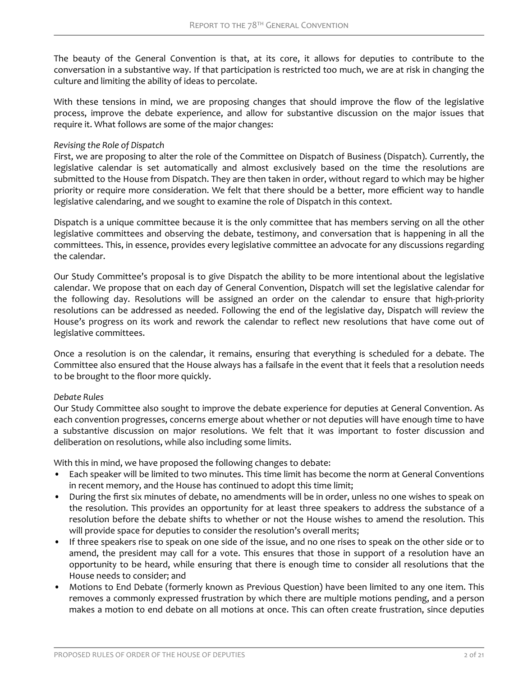The beauty of the General Convention is that, at its core, it allows for deputies to contribute to the conversation in a substantive way. If that participation is restricted too much, we are at risk in changing the culture and limiting the ability of ideas to percolate.

With these tensions in mind, we are proposing changes that should improve the flow of the legislative process, improve the debate experience, and allow for substantive discussion on the major issues that require it. What follows are some of the major changes:

#### *Revising the Role of Dispatch*

First, we are proposing to alter the role of the Committee on Dispatch of Business (Dispatch). Currently, the legislative calendar is set automatically and almost exclusively based on the time the resolutions are submitted to the House from Dispatch. They are then taken in order, without regard to which may be higher priority or require more consideration. We felt that there should be a better, more efficient way to handle legislative calendaring, and we sought to examine the role of Dispatch in this context.

Dispatch is a unique committee because it is the only committee that has members serving on all the other legislative committees and observing the debate, testimony, and conversation that is happening in all the committees. This, in essence, provides every legislative committee an advocate for any discussions regarding the calendar.

Our Study Committee's proposal is to give Dispatch the ability to be more intentional about the legislative calendar. We propose that on each day of General Convention, Dispatch will set the legislative calendar for the following day. Resolutions will be assigned an order on the calendar to ensure that high-priority resolutions can be addressed as needed. Following the end of the legislative day, Dispatch will review the House's progress on its work and rework the calendar to reflect new resolutions that have come out of legislative committees.

Once a resolution is on the calendar, it remains, ensuring that everything is scheduled for a debate. The Committee also ensured that the House always has a failsafe in the event that it feels that a resolution needs to be brought to the floor more quickly.

## *Debate Rules*

Our Study Committee also sought to improve the debate experience for deputies at General Convention. As each convention progresses, concerns emerge about whether or not deputies will have enough time to have a substantive discussion on major resolutions. We felt that it was important to foster discussion and deliberation on resolutions, while also including some limits.

With this in mind, we have proposed the following changes to debate:

- Each speaker will be limited to two minutes. This time limit has become the norm at General Conventions in recent memory, and the House has continued to adopt this time limit;
- During the first six minutes of debate, no amendments will be in order, unless no one wishes to speak on the resolution. This provides an opportunity for at least three speakers to address the substance of a resolution before the debate shifts to whether or not the House wishes to amend the resolution. This will provide space for deputies to consider the resolution's overall merits;
- If three speakers rise to speak on one side of the issue, and no one rises to speak on the other side or to amend, the president may call for a vote. This ensures that those in support of a resolution have an opportunity to be heard, while ensuring that there is enough time to consider all resolutions that the House needs to consider; and
- Motions to End Debate (formerly known as Previous Question) have been limited to any one item. This removes a commonly expressed frustration by which there are multiple motions pending, and a person makes a motion to end debate on all motions at once. This can often create frustration, since deputies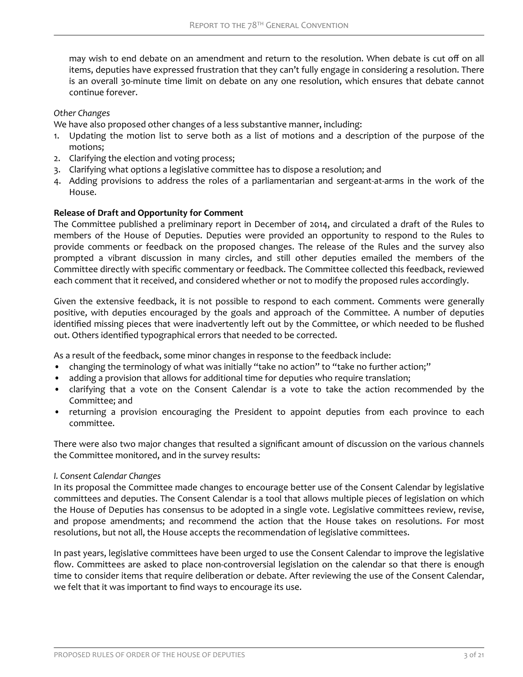may wish to end debate on an amendment and return to the resolution. When debate is cut off on all items, deputies have expressed frustration that they can't fully engage in considering a resolution. There is an overall 30-minute time limit on debate on any one resolution, which ensures that debate cannot continue forever.

## *Other Changes*

We have also proposed other changes of a less substantive manner, including:

- 1. Updating the motion list to serve both as a list of motions and a description of the purpose of the motions;
- 2. Clarifying the election and voting process;
- 3. Clarifying what options a legislative committee has to dispose a resolution; and
- 4. Adding provisions to address the roles of a parliamentarian and sergeant-at-arms in the work of the House.

## **Release of Draft and Opportunity for Comment**

The Committee published a preliminary report in December of 2014, and circulated a draft of the Rules to members of the House of Deputies. Deputies were provided an opportunity to respond to the Rules to provide comments or feedback on the proposed changes. The release of the Rules and the survey also prompted a vibrant discussion in many circles, and still other deputies emailed the members of the Committee directly with specific commentary or feedback. The Committee collected this feedback, reviewed each comment that it received, and considered whether or not to modify the proposed rules accordingly.

Given the extensive feedback, it is not possible to respond to each comment. Comments were generally positive, with deputies encouraged by the goals and approach of the Committee. A number of deputies identified missing pieces that were inadvertently left out by the Committee, or which needed to be flushed out. Others identified typographical errors that needed to be corrected.

As a result of the feedback, some minor changes in response to the feedback include:

- changing the terminology of what was initially "take no action" to "take no further action;"
- adding a provision that allows for additional time for deputies who require translation;
- clarifying that a vote on the Consent Calendar is a vote to take the action recommended by the Committee; and
- returning a provision encouraging the President to appoint deputies from each province to each committee.

There were also two major changes that resulted a significant amount of discussion on the various channels the Committee monitored, and in the survey results:

#### *I. Consent Calendar Changes*

In its proposal the Committee made changes to encourage better use of the Consent Calendar by legislative committees and deputies. The Consent Calendar is a tool that allows multiple pieces of legislation on which the House of Deputies has consensus to be adopted in a single vote. Legislative committees review, revise, and propose amendments; and recommend the action that the House takes on resolutions. For most resolutions, but not all, the House accepts the recommendation of legislative committees.

In past years, legislative committees have been urged to use the Consent Calendar to improve the legislative flow. Committees are asked to place non-controversial legislation on the calendar so that there is enough time to consider items that require deliberation or debate. After reviewing the use of the Consent Calendar, we felt that it was important to find ways to encourage its use.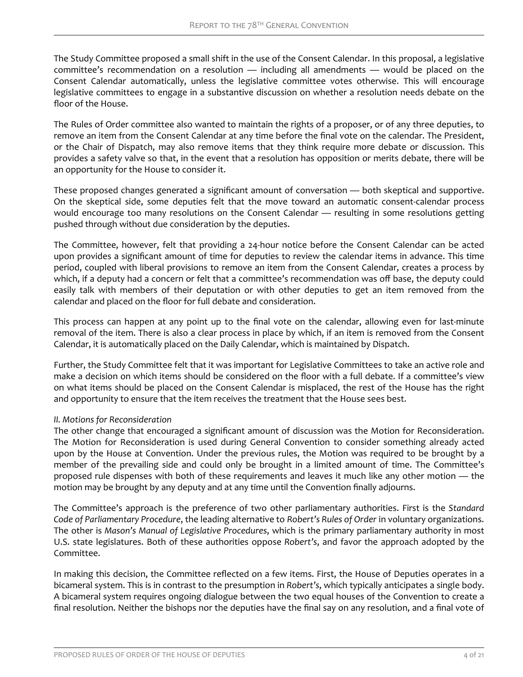The Study Committee proposed a small shift in the use of the Consent Calendar. In this proposal, a legislative committee's recommendation on a resolution — including all amendments — would be placed on the Consent Calendar automatically, unless the legislative committee votes otherwise. This will encourage legislative committees to engage in a substantive discussion on whether a resolution needs debate on the floor of the House.

The Rules of Order committee also wanted to maintain the rights of a proposer, or of any three deputies, to remove an item from the Consent Calendar at any time before the final vote on the calendar. The President, or the Chair of Dispatch, may also remove items that they think require more debate or discussion. This provides a safety valve so that, in the event that a resolution has opposition or merits debate, there will be an opportunity for the House to consider it.

These proposed changes generated a significant amount of conversation — both skeptical and supportive. On the skeptical side, some deputies felt that the move toward an automatic consent-calendar process would encourage too many resolutions on the Consent Calendar — resulting in some resolutions getting pushed through without due consideration by the deputies.

The Committee, however, felt that providing a 24-hour notice before the Consent Calendar can be acted upon provides a significant amount of time for deputies to review the calendar items in advance. This time period, coupled with liberal provisions to remove an item from the Consent Calendar, creates a process by which, if a deputy had a concern or felt that a committee's recommendation was off base, the deputy could easily talk with members of their deputation or with other deputies to get an item removed from the calendar and placed on the floor for full debate and consideration.

This process can happen at any point up to the final vote on the calendar, allowing even for last-minute removal of the item. There is also a clear process in place by which, if an item is removed from the Consent Calendar, it is automatically placed on the Daily Calendar, which is maintained by Dispatch.

Further, the Study Committee felt that it was important for Legislative Committees to take an active role and make a decision on which items should be considered on the floor with a full debate. If a committee's view on what items should be placed on the Consent Calendar is misplaced, the rest of the House has the right and opportunity to ensure that the item receives the treatment that the House sees best.

## *II. Motions for Reconsideration*

The other change that encouraged a significant amount of discussion was the Motion for Reconsideration. The Motion for Reconsideration is used during General Convention to consider something already acted upon by the House at Convention. Under the previous rules, the Motion was required to be brought by a member of the prevailing side and could only be brought in a limited amount of time. The Committee's proposed rule dispenses with both of these requirements and leaves it much like any other motion — the motion may be brought by any deputy and at any time until the Convention finally adjourns.

The Committee's approach is the preference of two other parliamentary authorities. First is the *Standard Code of Parliamentary Procedure*, the leading alternative to *Robert's Rules of Order* in voluntary organizations. The other is *Mason's Manual of Legislative Procedures*, which is the primary parliamentary authority in most U.S. state legislatures. Both of these authorities oppose *Robert's*, and favor the approach adopted by the Committee.

In making this decision, the Committee reflected on a few items. First, the House of Deputies operates in a bicameral system. This is in contrast to the presumption in *Robert's*, which typically anticipates a single body. A bicameral system requires ongoing dialogue between the two equal houses of the Convention to create a final resolution. Neither the bishops nor the deputies have the final say on any resolution, and a final vote of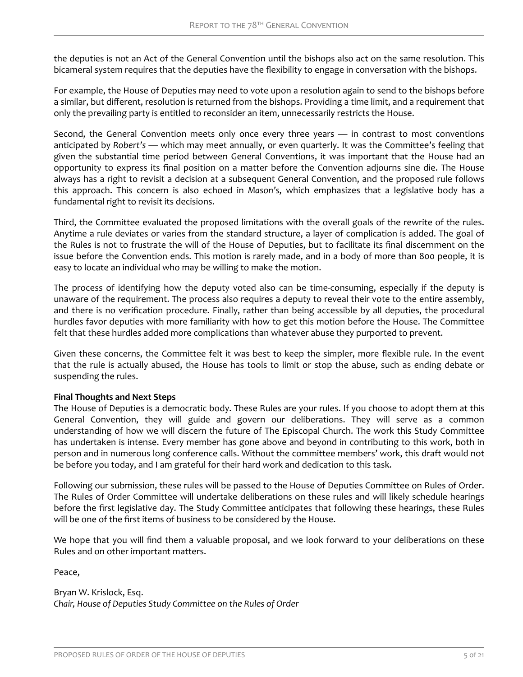the deputies is not an Act of the General Convention until the bishops also act on the same resolution. This bicameral system requires that the deputies have the flexibility to engage in conversation with the bishops.

For example, the House of Deputies may need to vote upon a resolution again to send to the bishops before a similar, but different, resolution is returned from the bishops. Providing a time limit, and a requirement that only the prevailing party is entitled to reconsider an item, unnecessarily restricts the House.

Second, the General Convention meets only once every three years — in contrast to most conventions anticipated by *Robert's* — which may meet annually, or even quarterly. It was the Committee's feeling that given the substantial time period between General Conventions, it was important that the House had an opportunity to express its final position on a matter before the Convention adjourns sine die. The House always has a right to revisit a decision at a subsequent General Convention, and the proposed rule follows this approach. This concern is also echoed in *Mason's*, which emphasizes that a legislative body has a fundamental right to revisit its decisions.

Third, the Committee evaluated the proposed limitations with the overall goals of the rewrite of the rules. Anytime a rule deviates or varies from the standard structure, a layer of complication is added. The goal of the Rules is not to frustrate the will of the House of Deputies, but to facilitate its final discernment on the issue before the Convention ends. This motion is rarely made, and in a body of more than 800 people, it is easy to locate an individual who may be willing to make the motion.

The process of identifying how the deputy voted also can be time-consuming, especially if the deputy is unaware of the requirement. The process also requires a deputy to reveal their vote to the entire assembly, and there is no verification procedure. Finally, rather than being accessible by all deputies, the procedural hurdles favor deputies with more familiarity with how to get this motion before the House. The Committee felt that these hurdles added more complications than whatever abuse they purported to prevent.

Given these concerns, the Committee felt it was best to keep the simpler, more flexible rule. In the event that the rule is actually abused, the House has tools to limit or stop the abuse, such as ending debate or suspending the rules.

## **Final Thoughts and Next Steps**

The House of Deputies is a democratic body. These Rules are your rules. If you choose to adopt them at this General Convention, they will guide and govern our deliberations. They will serve as a common understanding of how we will discern the future of The Episcopal Church. The work this Study Committee has undertaken is intense. Every member has gone above and beyond in contributing to this work, both in person and in numerous long conference calls. Without the committee members' work, this draft would not be before you today, and I am grateful for their hard work and dedication to this task.

Following our submission, these rules will be passed to the House of Deputies Committee on Rules of Order. The Rules of Order Committee will undertake deliberations on these rules and will likely schedule hearings before the first legislative day. The Study Committee anticipates that following these hearings, these Rules will be one of the first items of business to be considered by the House.

We hope that you will find them a valuable proposal, and we look forward to your deliberations on these Rules and on other important matters.

Peace,

Bryan W. Krislock, Esq. *Chair, House of Deputies Study Committee on the Rules of Order*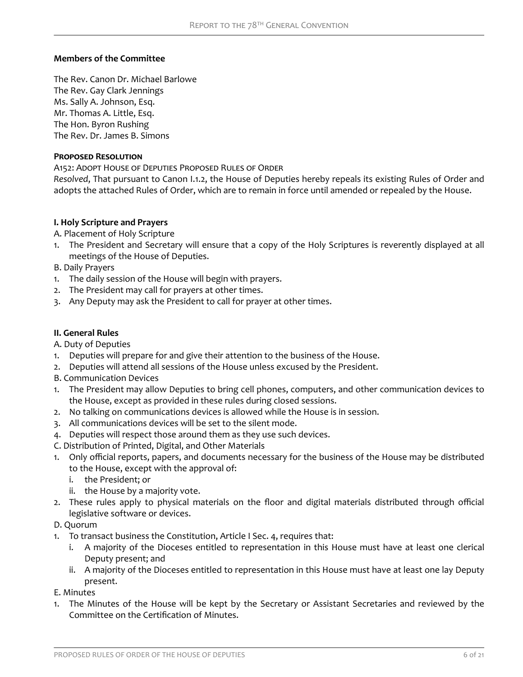## **Members of the Committee**

The Rev. Canon Dr. Michael Barlowe The Rev. Gay Clark Jennings Ms. Sally A. Johnson, Esq. Mr. Thomas A. Little, Esq. The Hon. Byron Rushing The Rev. Dr. James B. Simons

## **Proposed Resolution**

A152: Adopt House of Deputies Proposed Rules of Order

*Resolved*, That pursuant to Canon I.1.2, the House of Deputies hereby repeals its existing Rules of Order and adopts the attached Rules of Order, which are to remain in force until amended or repealed by the House.

## **I. Holy Scripture and Prayers**

- A. Placement of Holy Scripture
- 1. The President and Secretary will ensure that a copy of the Holy Scriptures is reverently displayed at all meetings of the House of Deputies.
- B. Daily Prayers
- 1. The daily session of the House will begin with prayers.
- 2. The President may call for prayers at other times.
- 3. Any Deputy may ask the President to call for prayer at other times.

#### **II. General Rules**

- A. Duty of Deputies
- 1. Deputies will prepare for and give their attention to the business of the House.
- 2. Deputies will attend all sessions of the House unless excused by the President.
- B. Communication Devices
- 1. The President may allow Deputies to bring cell phones, computers, and other communication devices to the House, except as provided in these rules during closed sessions.
- 2. No talking on communications devices is allowed while the House is in session.
- 3. All communications devices will be set to the silent mode.
- 4. Deputies will respect those around them as they use such devices.
- C. Distribution of Printed, Digital, and Other Materials
- 1. Only official reports, papers, and documents necessary for the business of the House may be distributed to the House, except with the approval of:
	- i. the President; or
	- ii. the House by a majority vote.
- 2. These rules apply to physical materials on the floor and digital materials distributed through official legislative software or devices.

#### D. Quorum

- 1. To transact business the Constitution, Article I Sec. 4, requires that:
	- i. A majority of the Dioceses entitled to representation in this House must have at least one clerical Deputy present; and
	- ii. A majority of the Dioceses entitled to representation in this House must have at least one lay Deputy present.

#### E. Minutes

1. The Minutes of the House will be kept by the Secretary or Assistant Secretaries and reviewed by the Committee on the Certification of Minutes.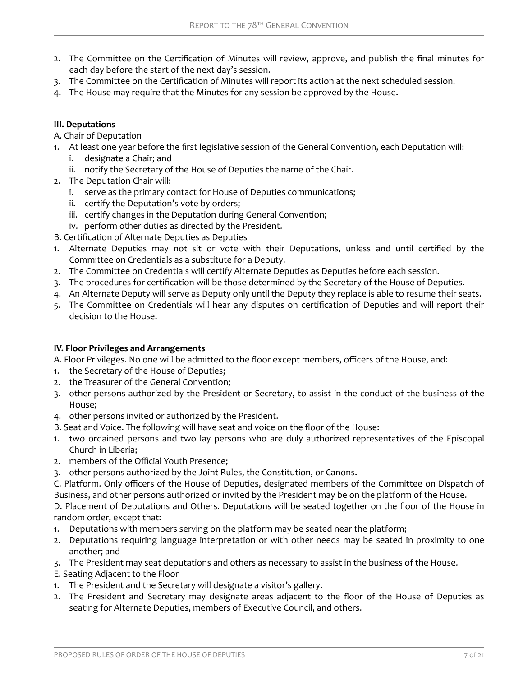- 2. The Committee on the Certification of Minutes will review, approve, and publish the final minutes for each day before the start of the next day's session.
- 3. The Committee on the Certification of Minutes will report its action at the next scheduled session.
- 4. The House may require that the Minutes for any session be approved by the House.

# **III. Deputations**

A. Chair of Deputation

- 1. At least one year before the first legislative session of the General Convention, each Deputation will:
	- i. designate a Chair; and
	- ii. notify the Secretary of the House of Deputies the name of the Chair.
- 2. The Deputation Chair will:
	- i. serve as the primary contact for House of Deputies communications;
	- ii. certify the Deputation's vote by orders;
	- iii. certify changes in the Deputation during General Convention;
	- iv. perform other duties as directed by the President.
- B. Certification of Alternate Deputies as Deputies
- 1. Alternate Deputies may not sit or vote with their Deputations, unless and until certified by the Committee on Credentials as a substitute for a Deputy.
- 2. The Committee on Credentials will certify Alternate Deputies as Deputies before each session.
- 3. The procedures for certification will be those determined by the Secretary of the House of Deputies.
- 4. An Alternate Deputy will serve as Deputy only until the Deputy they replace is able to resume their seats.
- 5. The Committee on Credentials will hear any disputes on certification of Deputies and will report their decision to the House.

# **IV. Floor Privileges and Arrangements**

A. Floor Privileges. No one will be admitted to the floor except members, officers of the House, and:

- 1. the Secretary of the House of Deputies;
- 2. the Treasurer of the General Convention;
- 3. other persons authorized by the President or Secretary, to assist in the conduct of the business of the House;
- 4. other persons invited or authorized by the President.
- B. Seat and Voice. The following will have seat and voice on the floor of the House:
- 1. two ordained persons and two lay persons who are duly authorized representatives of the Episcopal Church in Liberia;
- 2. members of the Official Youth Presence;
- 3. other persons authorized by the Joint Rules, the Constitution, or Canons.
- C. Platform. Only officers of the House of Deputies, designated members of the Committee on Dispatch of Business, and other persons authorized or invited by the President may be on the platform of the House.

D. Placement of Deputations and Others. Deputations will be seated together on the floor of the House in random order, except that:

- 1. Deputations with members serving on the platform may be seated near the platform;
- 2. Deputations requiring language interpretation or with other needs may be seated in proximity to one another; and
- 3. The President may seat deputations and others as necessary to assist in the business of the House.
- E. Seating Adjacent to the Floor
- 1. The President and the Secretary will designate a visitor's gallery.
- 2. The President and Secretary may designate areas adjacent to the floor of the House of Deputies as seating for Alternate Deputies, members of Executive Council, and others.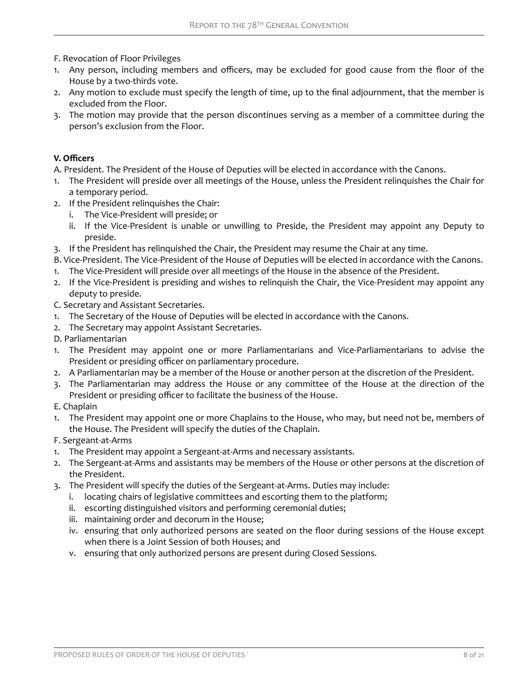- F. Revocation of Floor Privileges
- 1. Any person, including members and officers, may be excluded for good cause from the floor of the House by a two-thirds vote.
- 2. Any motion to exclude must specify the length of time, up to the final adjournment, that the member is excluded from the Floor.
- 3. The motion may provide that the person discontinues serving as a member of a committee during the person's exclusion from the Floor.

## **V. Officers**

A. President. The President of the House of Deputies will be elected in accordance with the Canons.

- 1. The President will preside over all meetings of the House, unless the President relinquishes the Chair for a temporary period.
- 2. If the President relinquishes the Chair:
	- i. The Vice-President will preside; or
	- ii. If the Vice-President is unable or unwilling to Preside, the President may appoint any Deputy to preside.
- 3. If the President has relinquished the Chair, the President may resume the Chair at any time.
- B. Vice-President. The Vice-President of the House of Deputies will be elected in accordance with the Canons.
- 1. The Vice-President will preside over all meetings of the House in the absence of the President.
- 2. If the Vice-President is presiding and wishes to relinquish the Chair, the Vice-President may appoint any deputy to preside.
- C. Secretary and Assistant Secretaries.
- 1. The Secretary of the House of Deputies will be elected in accordance with the Canons.
- 2. The Secretary may appoint Assistant Secretaries.
- D. Parliamentarian
- 1. The President may appoint one or more Parliamentarians and Vice-Parliamentarians to advise the President or presiding officer on parliamentary procedure.
- 2. A Parliamentarian may be a member of the House or another person at the discretion of the President.
- 3. The Parliamentarian may address the House or any committee of the House at the direction of the President or presiding officer to facilitate the business of the House.
- E. Chaplain
- 1. The President may appoint one or more Chaplains to the House, who may, but need not be, members of the House. The President will specify the duties of the Chaplain.
- F. Sergeant-at-Arms
- 1. The President may appoint a Sergeant-at-Arms and necessary assistants.
- 2. The Sergeant-at-Arms and assistants may be members of the House or other persons at the discretion of the President.
- 3. The President will specify the duties of the Sergeant-at-Arms. Duties may include:
	- i. locating chairs of legislative committees and escorting them to the platform;
	- ii. escorting distinguished visitors and performing ceremonial duties;
	- iii. maintaining order and decorum in the House;
	- iv. ensuring that only authorized persons are seated on the floor during sessions of the House except when there is a Joint Session of both Houses; and
	- v. ensuring that only authorized persons are present during Closed Sessions.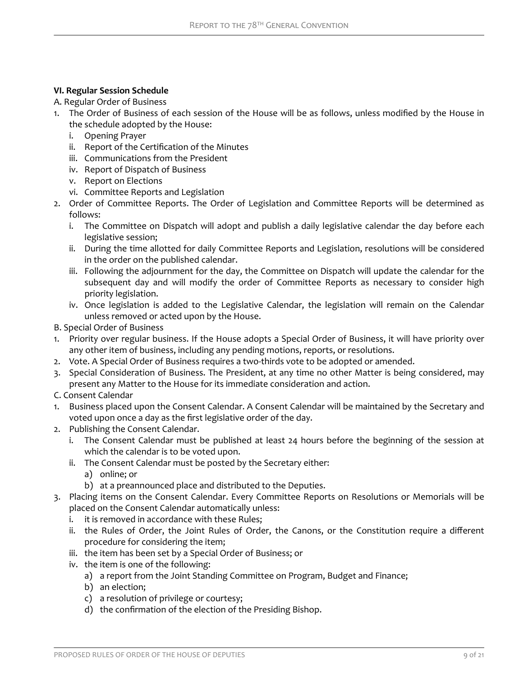# **VI. Regular Session Schedule**

A. Regular Order of Business

- 1. The Order of Business of each session of the House will be as follows, unless modified by the House in the schedule adopted by the House:
	- i. Opening Prayer
	- ii. Report of the Certification of the Minutes
	- iii. Communications from the President
	- iv. Report of Dispatch of Business
	- v. Report on Elections
	- vi. Committee Reports and Legislation
- 2. Order of Committee Reports. The Order of Legislation and Committee Reports will be determined as follows:
	- i. The Committee on Dispatch will adopt and publish a daily legislative calendar the day before each legislative session;
	- ii. During the time allotted for daily Committee Reports and Legislation, resolutions will be considered in the order on the published calendar.
	- iii. Following the adjournment for the day, the Committee on Dispatch will update the calendar for the subsequent day and will modify the order of Committee Reports as necessary to consider high priority legislation.
	- iv. Once legislation is added to the Legislative Calendar, the legislation will remain on the Calendar unless removed or acted upon by the House.
- B. Special Order of Business
- 1. Priority over regular business. If the House adopts a Special Order of Business, it will have priority over any other item of business, including any pending motions, reports, or resolutions.
- 2. Vote. A Special Order of Business requires a two-thirds vote to be adopted or amended.
- 3. Special Consideration of Business. The President, at any time no other Matter is being considered, may present any Matter to the House for its immediate consideration and action.

C. Consent Calendar

- 1. Business placed upon the Consent Calendar. A Consent Calendar will be maintained by the Secretary and voted upon once a day as the first legislative order of the day.
- 2. Publishing the Consent Calendar.
	- i. The Consent Calendar must be published at least 24 hours before the beginning of the session at which the calendar is to be voted upon.
	- ii. The Consent Calendar must be posted by the Secretary either:
		- a) online; or
		- b) at a preannounced place and distributed to the Deputies.
- 3. Placing items on the Consent Calendar. Every Committee Reports on Resolutions or Memorials will be placed on the Consent Calendar automatically unless:
	- i. it is removed in accordance with these Rules;
	- ii. the Rules of Order, the Joint Rules of Order, the Canons, or the Constitution require a different procedure for considering the item;
	- iii. the item has been set by a Special Order of Business; or
	- iv. the item is one of the following:
		- a) a report from the Joint Standing Committee on Program, Budget and Finance;
		- b) an election;
		- c) a resolution of privilege or courtesy;
		- d) the confirmation of the election of the Presiding Bishop.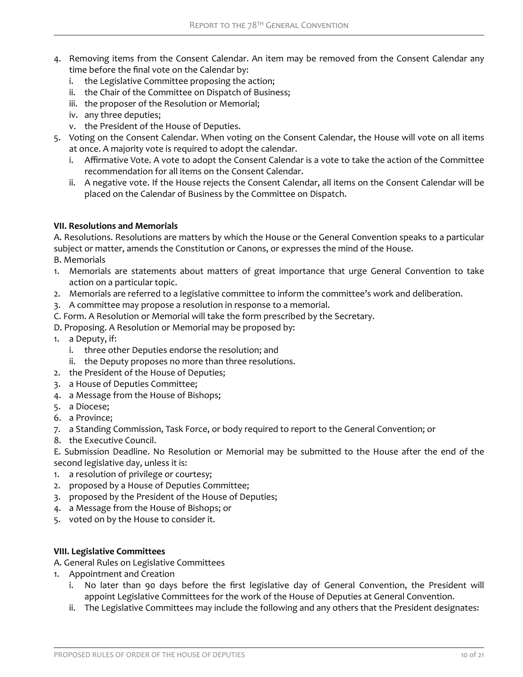- 4. Removing items from the Consent Calendar. An item may be removed from the Consent Calendar any time before the final vote on the Calendar by:
	- i. the Legislative Committee proposing the action;
	- ii. the Chair of the Committee on Dispatch of Business;
	- iii. the proposer of the Resolution or Memorial;
	- iv. any three deputies;
	- v. the President of the House of Deputies.
- 5. Voting on the Consent Calendar. When voting on the Consent Calendar, the House will vote on all items at once. A majority vote is required to adopt the calendar.
	- i. Affirmative Vote. A vote to adopt the Consent Calendar is a vote to take the action of the Committee recommendation for all items on the Consent Calendar.
	- ii. A negative vote. If the House rejects the Consent Calendar, all items on the Consent Calendar will be placed on the Calendar of Business by the Committee on Dispatch.

# **VII. Resolutions and Memorials**

A. Resolutions. Resolutions are matters by which the House or the General Convention speaks to a particular subject or matter, amends the Constitution or Canons, or expresses the mind of the House.

- B. Memorials
- 1. Memorials are statements about matters of great importance that urge General Convention to take action on a particular topic.
- 2. Memorials are referred to a legislative committee to inform the committee's work and deliberation.
- 3. A committee may propose a resolution in response to a memorial.
- C. Form. A Resolution or Memorial will take the form prescribed by the Secretary.
- D. Proposing. A Resolution or Memorial may be proposed by:
- 1. a Deputy, if:
	- i. three other Deputies endorse the resolution; and
	- ii. the Deputy proposes no more than three resolutions.
- 2. the President of the House of Deputies;
- 3. a House of Deputies Committee;
- 4. a Message from the House of Bishops;
- 5. a Diocese;
- 6. a Province;
- 7. a Standing Commission, Task Force, or body required to report to the General Convention; or
- 8. the Executive Council.

E. Submission Deadline. No Resolution or Memorial may be submitted to the House after the end of the second legislative day, unless it is:

- 1. a resolution of privilege or courtesy;
- 2. proposed by a House of Deputies Committee;
- 3. proposed by the President of the House of Deputies;
- 4. a Message from the House of Bishops; or
- 5. voted on by the House to consider it.

# **VIII. Legislative Committees**

- A. General Rules on Legislative Committees
- 1. Appointment and Creation
	- i. No later than 90 days before the first legislative day of General Convention, the President will appoint Legislative Committees for the work of the House of Deputies at General Convention.
	- ii. The Legislative Committees may include the following and any others that the President designates: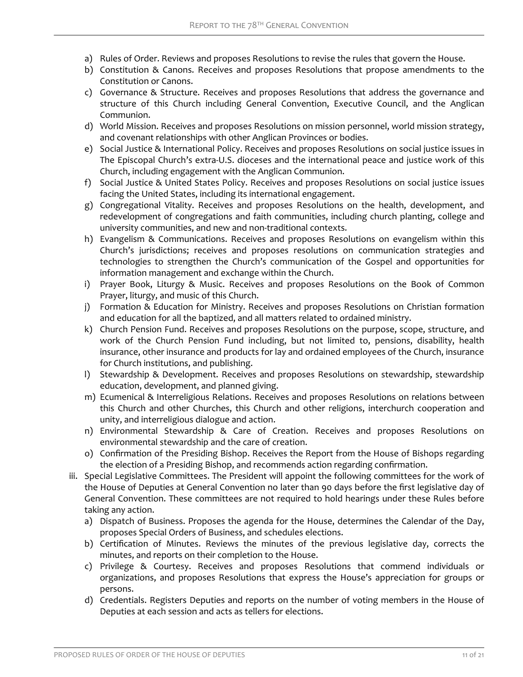- a) Rules of Order. Reviews and proposes Resolutions to revise the rules that govern the House.
- b) Constitution & Canons. Receives and proposes Resolutions that propose amendments to the Constitution or Canons.
- c) Governance & Structure. Receives and proposes Resolutions that address the governance and structure of this Church including General Convention, Executive Council, and the Anglican Communion.
- d) World Mission. Receives and proposes Resolutions on mission personnel, world mission strategy, and covenant relationships with other Anglican Provinces or bodies.
- e) Social Justice & International Policy. Receives and proposes Resolutions on social justice issues in The Episcopal Church's extra-U.S. dioceses and the international peace and justice work of this Church, including engagement with the Anglican Communion.
- f) Social Justice & United States Policy. Receives and proposes Resolutions on social justice issues facing the United States, including its international engagement.
- g) Congregational Vitality. Receives and proposes Resolutions on the health, development, and redevelopment of congregations and faith communities, including church planting, college and university communities, and new and non-traditional contexts.
- h) Evangelism & Communications. Receives and proposes Resolutions on evangelism within this Church's jurisdictions; receives and proposes resolutions on communication strategies and technologies to strengthen the Church's communication of the Gospel and opportunities for information management and exchange within the Church.
- i) Prayer Book, Liturgy & Music. Receives and proposes Resolutions on the Book of Common Prayer, liturgy, and music of this Church.
- j) Formation & Education for Ministry. Receives and proposes Resolutions on Christian formation and education for all the baptized, and all matters related to ordained ministry.
- k) Church Pension Fund. Receives and proposes Resolutions on the purpose, scope, structure, and work of the Church Pension Fund including, but not limited to, pensions, disability, health insurance, other insurance and products for lay and ordained employees of the Church, insurance for Church institutions, and publishing.
- l) Stewardship & Development. Receives and proposes Resolutions on stewardship, stewardship education, development, and planned giving.
- m) Ecumenical & Interreligious Relations. Receives and proposes Resolutions on relations between this Church and other Churches, this Church and other religions, interchurch cooperation and unity, and interreligious dialogue and action.
- n) Environmental Stewardship & Care of Creation. Receives and proposes Resolutions on environmental stewardship and the care of creation.
- o) Confirmation of the Presiding Bishop. Receives the Report from the House of Bishops regarding the election of a Presiding Bishop, and recommends action regarding confirmation.
- iii. Special Legislative Committees. The President will appoint the following committees for the work of the House of Deputies at General Convention no later than 90 days before the first legislative day of General Convention. These committees are not required to hold hearings under these Rules before taking any action.
	- a) Dispatch of Business. Proposes the agenda for the House, determines the Calendar of the Day, proposes Special Orders of Business, and schedules elections.
	- b) Certification of Minutes. Reviews the minutes of the previous legislative day, corrects the minutes, and reports on their completion to the House.
	- c) Privilege & Courtesy. Receives and proposes Resolutions that commend individuals or organizations, and proposes Resolutions that express the House's appreciation for groups or persons.
	- d) Credentials. Registers Deputies and reports on the number of voting members in the House of Deputies at each session and acts as tellers for elections.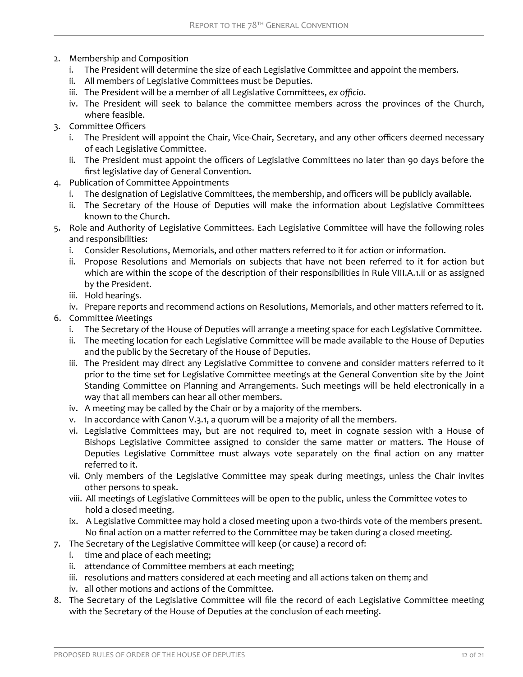- 2. Membership and Composition
	- i. The President will determine the size of each Legislative Committee and appoint the members.
	- ii. All members of Legislative Committees must be Deputies.
	- iii. The President will be a member of all Legislative Committees, ex officio.
	- iv. The President will seek to balance the committee members across the provinces of the Church, where feasible.
- 3. Committee Officers
	- i. The President will appoint the Chair, Vice-Chair, Secretary, and any other officers deemed necessary of each Legislative Committee.
	- ii. The President must appoint the officers of Legislative Committees no later than 90 days before the first legislative day of General Convention.
- 4. Publication of Committee Appointments
	- i. The designation of Legislative Committees, the membership, and officers will be publicly available.
	- ii. The Secretary of the House of Deputies will make the information about Legislative Committees known to the Church.
- 5. Role and Authority of Legislative Committees. Each Legislative Committee will have the following roles and responsibilities:
	- i. Consider Resolutions, Memorials, and other matters referred to it for action or information.
	- ii. Propose Resolutions and Memorials on subjects that have not been referred to it for action but which are within the scope of the description of their responsibilities in Rule VIII.A.1.ii or as assigned by the President.
	- iii. Hold hearings.
	- iv. Prepare reports and recommend actions on Resolutions, Memorials, and other matters referred to it.
- 6. Committee Meetings
	- i. The Secretary of the House of Deputies will arrange a meeting space for each Legislative Committee.
	- ii. The meeting location for each Legislative Committee will be made available to the House of Deputies and the public by the Secretary of the House of Deputies.
	- iii. The President may direct any Legislative Committee to convene and consider matters referred to it prior to the time set for Legislative Committee meetings at the General Convention site by the Joint Standing Committee on Planning and Arrangements. Such meetings will be held electronically in a way that all members can hear all other members.
	- iv. A meeting may be called by the Chair or by a majority of the members.
	- v. In accordance with Canon V.3.1, a quorum will be a majority of all the members.
	- vi. Legislative Committees may, but are not required to, meet in cognate session with a House of Bishops Legislative Committee assigned to consider the same matter or matters. The House of Deputies Legislative Committee must always vote separately on the final action on any matter referred to it.
	- vii. Only members of the Legislative Committee may speak during meetings, unless the Chair invites other persons to speak.
	- viii. All meetings of Legislative Committees will be open to the public, unless the Committee votes to hold a closed meeting.
	- ix. A Legislative Committee may hold a closed meeting upon a two-thirds vote of the members present. No final action on a matter referred to the Committee may be taken during a closed meeting.
- 7. The Secretary of the Legislative Committee will keep (or cause) a record of:
	- i. time and place of each meeting;
	- ii. attendance of Committee members at each meeting;
	- iii. resolutions and matters considered at each meeting and all actions taken on them; and
	- iv. all other motions and actions of the Committee.
- 8. The Secretary of the Legislative Committee will file the record of each Legislative Committee meeting with the Secretary of the House of Deputies at the conclusion of each meeting.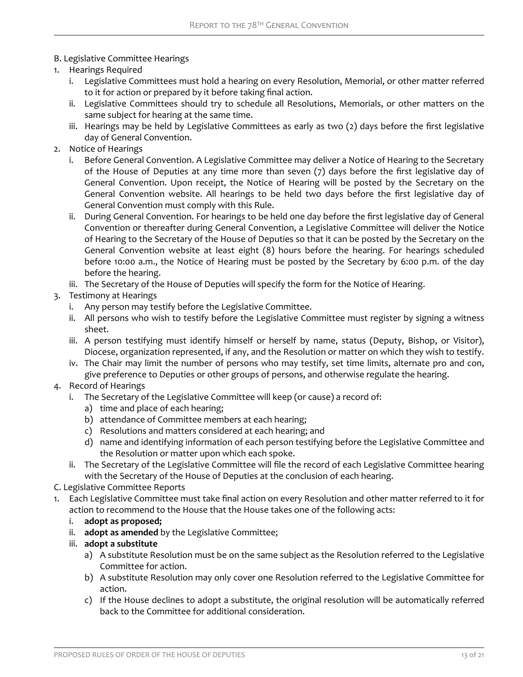# B. Legislative Committee Hearings

- 1. Hearings Required
	- i. Legislative Committees must hold a hearing on every Resolution, Memorial, or other matter referred to it for action or prepared by it before taking final action.
	- ii. Legislative Committees should try to schedule all Resolutions, Memorials, or other matters on the same subject for hearing at the same time.
	- iii. Hearings may be held by Legislative Committees as early as two (2) days before the first legislative day of General Convention.
- 2. Notice of Hearings
	- i. Before General Convention. A Legislative Committee may deliver a Notice of Hearing to the Secretary of the House of Deputies at any time more than seven (7) days before the first legislative day of General Convention. Upon receipt, the Notice of Hearing will be posted by the Secretary on the General Convention website. All hearings to be held two days before the first legislative day of General Convention must comply with this Rule.
	- ii. During General Convention. For hearings to be held one day before the first legislative day of General Convention or thereafter during General Convention, a Legislative Committee will deliver the Notice of Hearing to the Secretary of the House of Deputies so that it can be posted by the Secretary on the General Convention website at least eight (8) hours before the hearing. For hearings scheduled before 10:00 a.m., the Notice of Hearing must be posted by the Secretary by 6:00 p.m. of the day before the hearing.
	- iii. The Secretary of the House of Deputies will specify the form for the Notice of Hearing.
- 3. Testimony at Hearings
	- i. Any person may testify before the Legislative Committee.
	- ii. All persons who wish to testify before the Legislative Committee must register by signing a witness sheet.
	- iii. A person testifying must identify himself or herself by name, status (Deputy, Bishop, or Visitor), Diocese, organization represented, if any, and the Resolution or matter on which they wish to testify.
	- iv. The Chair may limit the number of persons who may testify, set time limits, alternate pro and con, give preference to Deputies or other groups of persons, and otherwise regulate the hearing.
- 4. Record of Hearings
	- i. The Secretary of the Legislative Committee will keep (or cause) a record of:
		- a) time and place of each hearing;
		- b) attendance of Committee members at each hearing;
		- c) Resolutions and matters considered at each hearing; and
		- d) name and identifying information of each person testifying before the Legislative Committee and the Resolution or matter upon which each spoke.
	- ii. The Secretary of the Legislative Committee will file the record of each Legislative Committee hearing with the Secretary of the House of Deputies at the conclusion of each hearing.

# C. Legislative Committee Reports

- 1. Each Legislative Committee must take final action on every Resolution and other matter referred to it for action to recommend to the House that the House takes one of the following acts:
	- i. **adopt as proposed;**
	- ii. **adopt as amended** by the Legislative Committee;
	- iii. **adopt a substitute**
		- a) A substitute Resolution must be on the same subject as the Resolution referred to the Legislative Committee for action.
		- b) A substitute Resolution may only cover one Resolution referred to the Legislative Committee for action.
		- c) If the House declines to adopt a substitute, the original resolution will be automatically referred back to the Committee for additional consideration.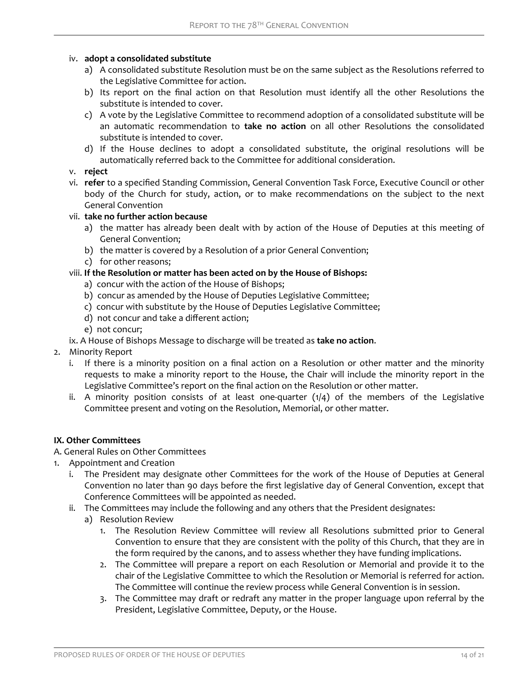## iv. **adopt a consolidated substitute**

- a) A consolidated substitute Resolution must be on the same subject as the Resolutions referred to the Legislative Committee for action.
- b) Its report on the final action on that Resolution must identify all the other Resolutions the substitute is intended to cover.
- c) A vote by the Legislative Committee to recommend adoption of a consolidated substitute will be an automatic recommendation to **take no action** on all other Resolutions the consolidated substitute is intended to cover.
- d) If the House declines to adopt a consolidated substitute, the original resolutions will be automatically referred back to the Committee for additional consideration.
- v. **reject**
- vi. **refer** to a specified Standing Commission, General Convention Task Force, Executive Council or other body of the Church for study, action, or to make recommendations on the subject to the next General Convention

## vii. **take no further action because**

- a) the matter has already been dealt with by action of the House of Deputies at this meeting of General Convention;
- b) the matter is covered by a Resolution of a prior General Convention;
- c) for other reasons;

## viii. **If the Resolution or matter has been acted on by the House of Bishops:**

- a) concur with the action of the House of Bishops;
- b) concur as amended by the House of Deputies Legislative Committee;
- c) concur with substitute by the House of Deputies Legislative Committee;
- d) not concur and take a different action;
- e) not concur;
- ix. A House of Bishops Message to discharge will be treated as **take no action**.
- 2. Minority Report
	- i. If there is a minority position on a final action on a Resolution or other matter and the minority requests to make a minority report to the House, the Chair will include the minority report in the Legislative Committee's report on the final action on the Resolution or other matter.
	- ii. A minority position consists of at least one-quarter  $(1/4)$  of the members of the Legislative Committee present and voting on the Resolution, Memorial, or other matter.

## **IX. Other Committees**

# A. General Rules on Other Committees

- 1. Appointment and Creation
	- i. The President may designate other Committees for the work of the House of Deputies at General Convention no later than 90 days before the first legislative day of General Convention, except that Conference Committees will be appointed as needed.
	- ii. The Committees may include the following and any others that the President designates:
		- a) Resolution Review
			- 1. The Resolution Review Committee will review all Resolutions submitted prior to General Convention to ensure that they are consistent with the polity of this Church, that they are in the form required by the canons, and to assess whether they have funding implications.
			- 2. The Committee will prepare a report on each Resolution or Memorial and provide it to the chair of the Legislative Committee to which the Resolution or Memorial is referred for action. The Committee will continue the review process while General Convention is in session.
			- 3. The Committee may draft or redraft any matter in the proper language upon referral by the President, Legislative Committee, Deputy, or the House.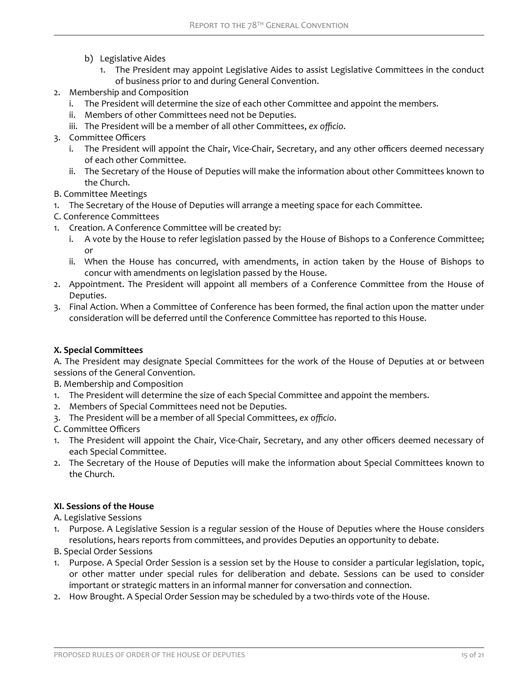- b) Legislative Aides
	- 1. The President may appoint Legislative Aides to assist Legislative Committees in the conduct of business prior to and during General Convention.
- 2. Membership and Composition
	- i. The President will determine the size of each other Committee and appoint the members.
	- ii. Members of other Committees need not be Deputies.
	- iii. The President will be a member of all other Committees, ex officio.
- 3. Committee Officers
	- i. The President will appoint the Chair, Vice-Chair, Secretary, and any other officers deemed necessary of each other Committee.
	- ii. The Secretary of the House of Deputies will make the information about other Committees known to the Church.
- B. Committee Meetings
- 1. The Secretary of the House of Deputies will arrange a meeting space for each Committee.
- C. Conference Committees
- 1. Creation. A Conference Committee will be created by:
	- i. A vote by the House to refer legislation passed by the House of Bishops to a Conference Committee; or
	- ii. When the House has concurred, with amendments, in action taken by the House of Bishops to concur with amendments on legislation passed by the House.
- 2. Appointment. The President will appoint all members of a Conference Committee from the House of Deputies.
- 3. Final Action. When a Committee of Conference has been formed, the final action upon the matter under consideration will be deferred until the Conference Committee has reported to this House.

## **X. Special Committees**

A. The President may designate Special Committees for the work of the House of Deputies at or between sessions of the General Convention.

- B. Membership and Composition
- 1. The President will determine the size of each Special Committee and appoint the members.
- 2. Members of Special Committees need not be Deputies.
- 3. The President will be a member of all Special Committees, ex officio.
- C. Committee Officers
- 1. The President will appoint the Chair, Vice-Chair, Secretary, and any other officers deemed necessary of each Special Committee.
- 2. The Secretary of the House of Deputies will make the information about Special Committees known to the Church.

## **XI. Sessions of the House**

A. Legislative Sessions

- 1. Purpose. A Legislative Session is a regular session of the House of Deputies where the House considers resolutions, hears reports from committees, and provides Deputies an opportunity to debate.
- B. Special Order Sessions
- 1. Purpose. A Special Order Session is a session set by the House to consider a particular legislation, topic, or other matter under special rules for deliberation and debate. Sessions can be used to consider important or strategic matters in an informal manner for conversation and connection.
- 2. How Brought. A Special Order Session may be scheduled by a two-thirds vote of the House.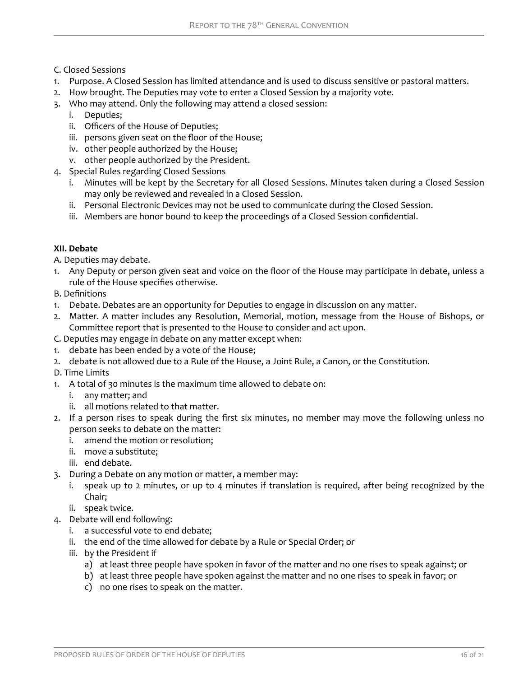- C. Closed Sessions
- 1. Purpose. A Closed Session has limited attendance and is used to discuss sensitive or pastoral matters.
- 2. How brought. The Deputies may vote to enter a Closed Session by a majority vote.
- 3. Who may attend. Only the following may attend a closed session:
	- i. Deputies;
	- ii. Officers of the House of Deputies;
	- iii. persons given seat on the floor of the House;
	- iv. other people authorized by the House;
	- v. other people authorized by the President.
- 4. Special Rules regarding Closed Sessions
	- i. Minutes will be kept by the Secretary for all Closed Sessions. Minutes taken during a Closed Session may only be reviewed and revealed in a Closed Session.
	- ii. Personal Electronic Devices may not be used to communicate during the Closed Session.
	- iii. Members are honor bound to keep the proceedings of a Closed Session confidential.

## **XII. Debate**

A. Deputies may debate.

- 1. Any Deputy or person given seat and voice on the floor of the House may participate in debate, unless a rule of the House specifies otherwise.
- B. Definitions
- 1. Debate. Debates are an opportunity for Deputies to engage in discussion on any matter.
- 2. Matter. A matter includes any Resolution, Memorial, motion, message from the House of Bishops, or Committee report that is presented to the House to consider and act upon.
- C. Deputies may engage in debate on any matter except when:
- 1. debate has been ended by a vote of the House;
- 2. debate is not allowed due to a Rule of the House, a Joint Rule, a Canon, or the Constitution.
- D. Time Limits
- 1. A total of 30 minutes is the maximum time allowed to debate on:
	- i. any matter; and
	- ii. all motions related to that matter.
- 2. If a person rises to speak during the first six minutes, no member may move the following unless no person seeks to debate on the matter:
	- i. amend the motion or resolution;
	- ii. move a substitute;
	- iii. end debate.
- 3. During a Debate on any motion or matter, a member may:
	- i. speak up to 2 minutes, or up to 4 minutes if translation is required, after being recognized by the Chair;
	- ii. speak twice.
- 4. Debate will end following:
	- i. a successful vote to end debate;
	- ii. the end of the time allowed for debate by a Rule or Special Order; or
	- iii. by the President if
		- a) at least three people have spoken in favor of the matter and no one rises to speak against; or
		- b) at least three people have spoken against the matter and no one rises to speak in favor; or
		- c) no one rises to speak on the matter.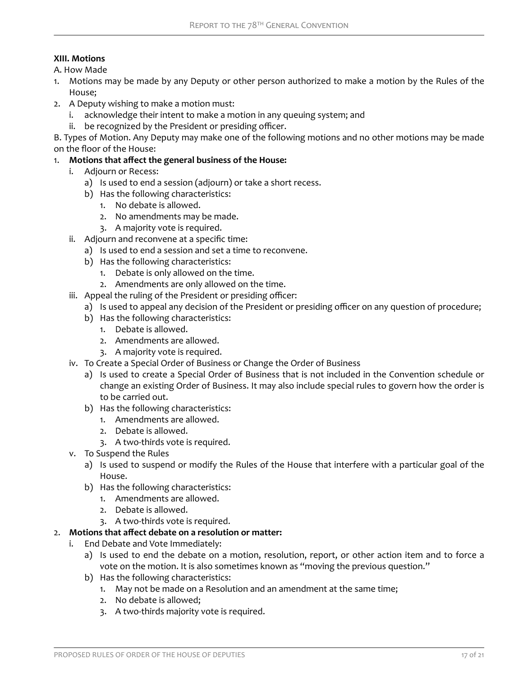## **XIII. Motions**

A. How Made

- 1. Motions may be made by any Deputy or other person authorized to make a motion by the Rules of the House;
- 2. A Deputy wishing to make a motion must:
	- i. acknowledge their intent to make a motion in any queuing system; and
	- ii. be recognized by the President or presiding officer.

B. Types of Motion. Any Deputy may make one of the following motions and no other motions may be made on the floor of the House:

- 1. Motions that affect the general business of the House:
	- i. Adjourn or Recess:
		- a) Is used to end a session (adjourn) or take a short recess.
		- b) Has the following characteristics:
			- 1. No debate is allowed.
			- 2. No amendments may be made.
			- 3. A majority vote is required.
	- ii. Adjourn and reconvene at a specific time:
	- a) Is used to end a session and set a time to reconvene.
		- b) Has the following characteristics:
			- 1. Debate is only allowed on the time.
			- 2. Amendments are only allowed on the time.
	- iii. Appeal the ruling of the President or presiding officer:
		- a) Is used to appeal any decision of the President or presiding officer on any question of procedure;
			- b) Has the following characteristics:
				- 1. Debate is allowed.
				- 2. Amendments are allowed.
				- 3. A majority vote is required.
	- iv. To Create a Special Order of Business or Change the Order of Business
		- a) Is used to create a Special Order of Business that is not included in the Convention schedule or change an existing Order of Business. It may also include special rules to govern how the order is to be carried out.
		- b) Has the following characteristics:
			- 1. Amendments are allowed.
			- 2. Debate is allowed.
			- 3. A two-thirds vote is required.
	- v. To Suspend the Rules
		- a) Is used to suspend or modify the Rules of the House that interfere with a particular goal of the House.
		- b) Has the following characteristics:
			- 1. Amendments are allowed.
			- 2. Debate is allowed.
			- 3. A two-thirds vote is required.

## 2. Motions that affect debate on a resolution or matter:

- i. End Debate and Vote Immediately:
	- a) Is used to end the debate on a motion, resolution, report, or other action item and to force a vote on the motion. It is also sometimes known as "moving the previous question."
	- b) Has the following characteristics:
		- 1. May not be made on a Resolution and an amendment at the same time;
		- 2. No debate is allowed;
		- 3. A two-thirds majority vote is required.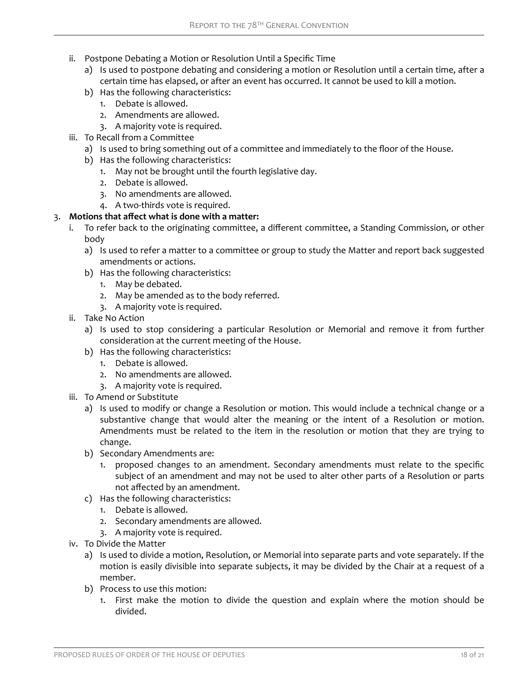- ii. Postpone Debating a Motion or Resolution Until a Specific Time
	- a) Is used to postpone debating and considering a motion or Resolution until a certain time, after a certain time has elapsed, or after an event has occurred. It cannot be used to kill a motion.
	- b) Has the following characteristics:
		- 1. Debate is allowed.
		- 2. Amendments are allowed.
		- 3. A majority vote is required.
- iii. To Recall from a Committee
	- a) Is used to bring something out of a committee and immediately to the floor of the House.
	- b) Has the following characteristics:
		- 1. May not be brought until the fourth legislative day.
		- 2. Debate is allowed.
		- 3. No amendments are allowed.
		- 4. A two-thirds vote is required.

# 3. Motions that affect what is done with a matter:

- i. To refer back to the originating committee, a different committee, a Standing Commission, or other body
	- a) Is used to refer a matter to a committee or group to study the Matter and report back suggested amendments or actions.
	- b) Has the following characteristics:
		- 1. May be debated.
		- 2. May be amended as to the body referred.
		- 3. A majority vote is required.
- ii. Take No Action
	- a) Is used to stop considering a particular Resolution or Memorial and remove it from further consideration at the current meeting of the House.
	- b) Has the following characteristics:
		- 1. Debate is allowed.
		- 2. No amendments are allowed.
		- 3. A majority vote is required.
- iii. To Amend or Substitute
	- a) Is used to modify or change a Resolution or motion. This would include a technical change or a substantive change that would alter the meaning or the intent of a Resolution or motion. Amendments must be related to the item in the resolution or motion that they are trying to change.
	- b) Secondary Amendments are:
		- 1. proposed changes to an amendment. Secondary amendments must relate to the specific subject of an amendment and may not be used to alter other parts of a Resolution or parts not affected by an amendment.
	- c) Has the following characteristics:
		- 1. Debate is allowed.
		- 2. Secondary amendments are allowed.
		- 3. A majority vote is required.
- iv. To Divide the Matter
	- a) Is used to divide a motion, Resolution, or Memorial into separate parts and vote separately. If the motion is easily divisible into separate subjects, it may be divided by the Chair at a request of a member.
	- b) Process to use this motion:
		- 1. First make the motion to divide the question and explain where the motion should be divided.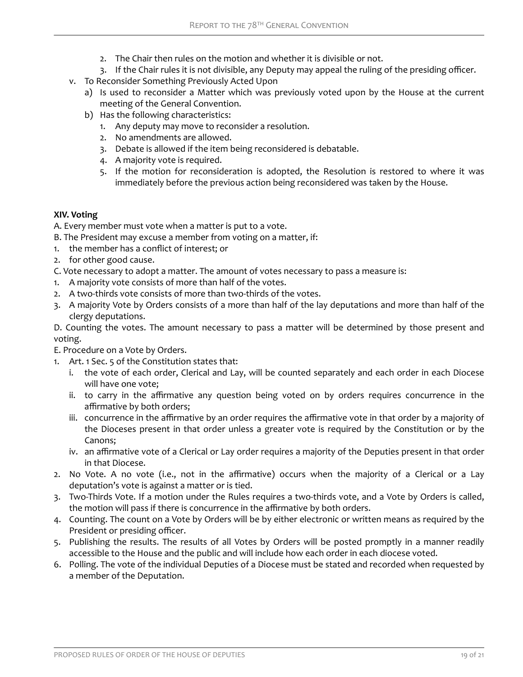- 2. The Chair then rules on the motion and whether it is divisible or not.
- 3. If the Chair rules it is not divisible, any Deputy may appeal the ruling of the presiding officer.
- v. To Reconsider Something Previously Acted Upon
	- a) Is used to reconsider a Matter which was previously voted upon by the House at the current meeting of the General Convention.
	- b) Has the following characteristics:
		- 1. Any deputy may move to reconsider a resolution.
		- 2. No amendments are allowed.
		- 3. Debate is allowed if the item being reconsidered is debatable.
		- 4. A majority vote is required.
		- 5. If the motion for reconsideration is adopted, the Resolution is restored to where it was immediately before the previous action being reconsidered was taken by the House.

## **XIV. Voting**

A. Every member must vote when a matter is put to a vote.

- B. The President may excuse a member from voting on a matter, if:
- 1. the member has a conƪict of interest; or
- 2. for other good cause.
- C. Vote necessary to adopt a matter. The amount of votes necessary to pass a measure is:
- 1. A majority vote consists of more than half of the votes.
- 2. A two-thirds vote consists of more than two-thirds of the votes.
- 3. A majority Vote by Orders consists of a more than half of the lay deputations and more than half of the clergy deputations.

D. Counting the votes. The amount necessary to pass a matter will be determined by those present and voting.

E. Procedure on a Vote by Orders.

- 1. Art. 1 Sec. 5 of the Constitution states that:
	- i. the vote of each order, Clerical and Lay, will be counted separately and each order in each Diocese will have one vote;
	- ii. to carry in the affirmative any question being voted on by orders requires concurrence in the affirmative by both orders;
	- iii. concurrence in the affirmative by an order requires the affirmative vote in that order by a majority of the Dioceses present in that order unless a greater vote is required by the Constitution or by the Canons;
	- iv. an affirmative vote of a Clerical or Lay order requires a majority of the Deputies present in that order in that Diocese.
- 2. No Vote. A no vote (i.e., not in the affirmative) occurs when the majority of a Clerical or a Lay deputation's vote is against a matter or is tied.
- 3. Two-Thirds Vote. If a motion under the Rules requires a two-thirds vote, and a Vote by Orders is called, the motion will pass if there is concurrence in the affirmative by both orders.
- 4. Counting. The count on a Vote by Orders will be by either electronic or written means as required by the President or presiding officer.
- 5. Publishing the results. The results of all Votes by Orders will be posted promptly in a manner readily accessible to the House and the public and will include how each order in each diocese voted.
- 6. Polling. The vote of the individual Deputies of a Diocese must be stated and recorded when requested by a member of the Deputation.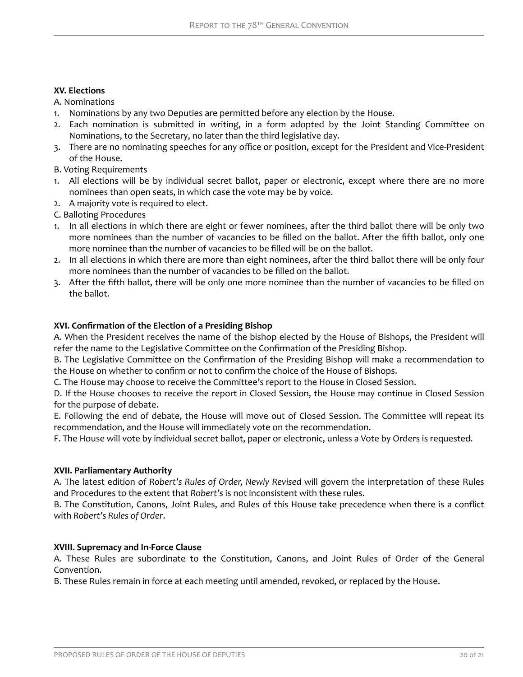## **XV. Elections**

A. Nominations

- 1. Nominations by any two Deputies are permitted before any election by the House.
- 2. Each nomination is submitted in writing, in a form adopted by the Joint Standing Committee on Nominations, to the Secretary, no later than the third legislative day.
- 3. There are no nominating speeches for any office or position, except for the President and Vice-President of the House.
- B. Voting Requirements
- 1. All elections will be by individual secret ballot, paper or electronic, except where there are no more nominees than open seats, in which case the vote may be by voice.
- 2. A majority vote is required to elect.
- C. Balloting Procedures
- 1. In all elections in which there are eight or fewer nominees, after the third ballot there will be only two more nominees than the number of vacancies to be filled on the ballot. After the fifth ballot, only one more nominee than the number of vacancies to be filled will be on the ballot.
- 2. In all elections in which there are more than eight nominees, after the third ballot there will be only four more nominees than the number of vacancies to be filled on the ballot.
- 3. After the fifth ballot, there will be only one more nominee than the number of vacancies to be filled on the ballot.

## **XVI. Confirmation of the Election of a Presiding Bishop**

A. When the President receives the name of the bishop elected by the House of Bishops, the President will refer the name to the Legislative Committee on the Confirmation of the Presiding Bishop.

B. The Legislative Committee on the Confirmation of the Presiding Bishop will make a recommendation to the House on whether to confirm or not to confirm the choice of the House of Bishops.

C. The House may choose to receive the Committee's report to the House in Closed Session.

D. If the House chooses to receive the report in Closed Session, the House may continue in Closed Session for the purpose of debate.

E. Following the end of debate, the House will move out of Closed Session. The Committee will repeat its recommendation, and the House will immediately vote on the recommendation.

F. The House will vote by individual secret ballot, paper or electronic, unless a Vote by Orders is requested.

## **XVII. Parliamentary Authority**

A. The latest edition of *Robert's Rules of Order, Newly Revised* will govern the interpretation of these Rules and Procedures to the extent that *Robert's* is not inconsistent with these rules.

B. The Constitution, Canons, Joint Rules, and Rules of this House take precedence when there is a conflict with *Robert's Rules of Order*.

## **XVIII. Supremacy and In-Force Clause**

A. These Rules are subordinate to the Constitution, Canons, and Joint Rules of Order of the General Convention.

B. These Rules remain in force at each meeting until amended, revoked, or replaced by the House.